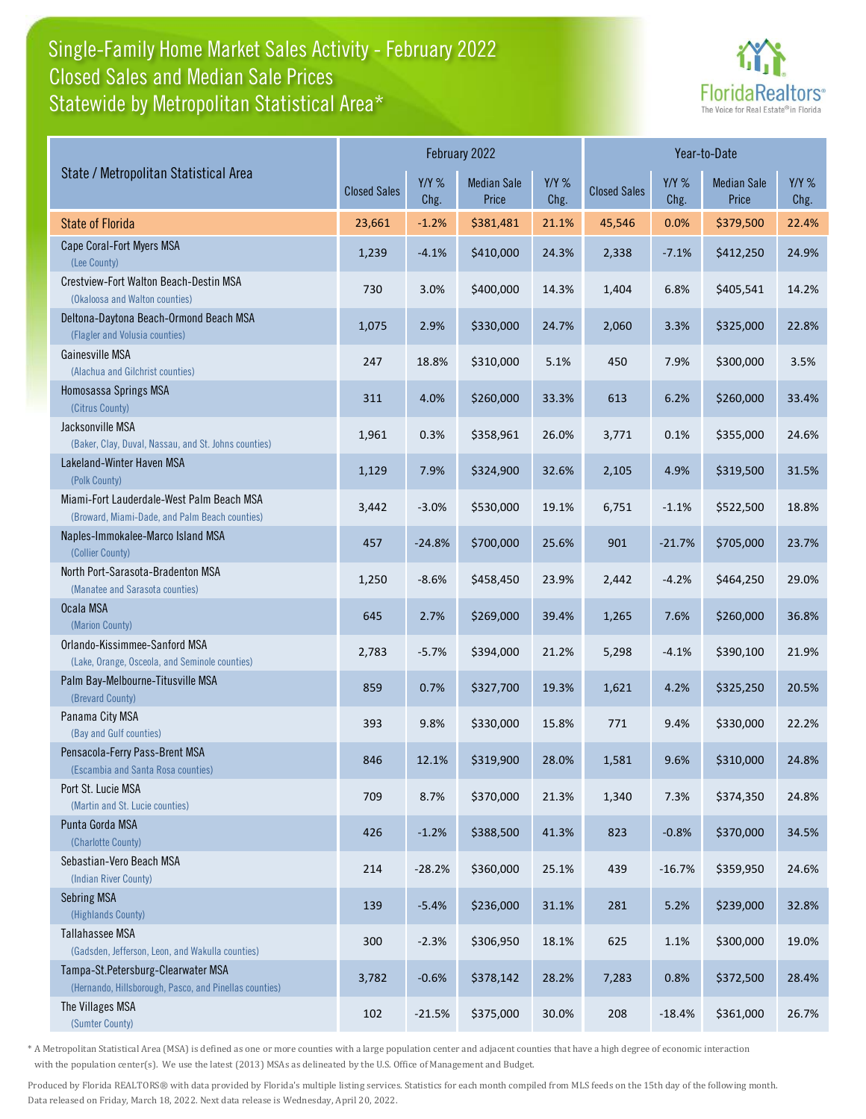## Single-Family Home Market Sales Activity - February 2022 Statewide by Metropolitan Statistical Area\* Closed Sales and Median Sale Prices



| State / Metropolitan Statistical Area                                                        | February 2022       |                 |                             |                 | Year-to-Date        |                 |                             |                 |
|----------------------------------------------------------------------------------------------|---------------------|-----------------|-----------------------------|-----------------|---------------------|-----------------|-----------------------------|-----------------|
|                                                                                              | <b>Closed Sales</b> | $Y/Y$ %<br>Chg. | <b>Median Sale</b><br>Price | $Y/Y$ %<br>Chg. | <b>Closed Sales</b> | $Y/Y$ %<br>Chg. | <b>Median Sale</b><br>Price | $Y/Y$ %<br>Chg. |
| <b>State of Florida</b>                                                                      | 23,661              | $-1.2%$         | \$381,481                   | 21.1%           | 45,546              | 0.0%            | \$379,500                   | 22.4%           |
| Cape Coral-Fort Myers MSA<br>(Lee County)                                                    | 1,239               | $-4.1%$         | \$410,000                   | 24.3%           | 2,338               | $-7.1%$         | \$412,250                   | 24.9%           |
| Crestview-Fort Walton Beach-Destin MSA<br>(Okaloosa and Walton counties)                     | 730                 | 3.0%            | \$400,000                   | 14.3%           | 1,404               | 6.8%            | \$405,541                   | 14.2%           |
| Deltona-Daytona Beach-Ormond Beach MSA<br>(Flagler and Volusia counties)                     | 1,075               | 2.9%            | \$330,000                   | 24.7%           | 2,060               | 3.3%            | \$325,000                   | 22.8%           |
| Gainesville MSA<br>(Alachua and Gilchrist counties)                                          | 247                 | 18.8%           | \$310,000                   | 5.1%            | 450                 | 7.9%            | \$300,000                   | 3.5%            |
| Homosassa Springs MSA<br>(Citrus County)                                                     | 311                 | 4.0%            | \$260,000                   | 33.3%           | 613                 | 6.2%            | \$260,000                   | 33.4%           |
| Jacksonville MSA<br>(Baker, Clay, Duval, Nassau, and St. Johns counties)                     | 1,961               | 0.3%            | \$358,961                   | 26.0%           | 3,771               | 0.1%            | \$355,000                   | 24.6%           |
| Lakeland-Winter Haven MSA<br>(Polk County)                                                   | 1,129               | 7.9%            | \$324,900                   | 32.6%           | 2,105               | 4.9%            | \$319,500                   | 31.5%           |
| Miami-Fort Lauderdale-West Palm Beach MSA<br>(Broward, Miami-Dade, and Palm Beach counties)  | 3,442               | $-3.0%$         | \$530,000                   | 19.1%           | 6,751               | $-1.1%$         | \$522,500                   | 18.8%           |
| Naples-Immokalee-Marco Island MSA<br>(Collier County)                                        | 457                 | $-24.8%$        | \$700,000                   | 25.6%           | 901                 | $-21.7%$        | \$705,000                   | 23.7%           |
| North Port-Sarasota-Bradenton MSA<br>(Manatee and Sarasota counties)                         | 1,250               | $-8.6%$         | \$458,450                   | 23.9%           | 2,442               | $-4.2%$         | \$464,250                   | 29.0%           |
| Ocala MSA<br>(Marion County)                                                                 | 645                 | 2.7%            | \$269,000                   | 39.4%           | 1,265               | 7.6%            | \$260,000                   | 36.8%           |
| Orlando-Kissimmee-Sanford MSA<br>(Lake, Orange, Osceola, and Seminole counties)              | 2,783               | $-5.7%$         | \$394,000                   | 21.2%           | 5,298               | $-4.1%$         | \$390,100                   | 21.9%           |
| Palm Bay-Melbourne-Titusville MSA<br>(Brevard County)                                        | 859                 | 0.7%            | \$327,700                   | 19.3%           | 1,621               | 4.2%            | \$325,250                   | 20.5%           |
| Panama City MSA<br>(Bay and Gulf counties)                                                   | 393                 | 9.8%            | \$330,000                   | 15.8%           | 771                 | 9.4%            | \$330,000                   | 22.2%           |
| Pensacola-Ferry Pass-Brent MSA<br>(Escambia and Santa Rosa counties)                         | 846                 | 12.1%           | \$319,900                   | 28.0%           | 1,581               | 9.6%            | \$310,000                   | 24.8%           |
| Port St. Lucie MSA<br>(Martin and St. Lucie counties)                                        | 709                 | 8.7%            | \$370,000                   | 21.3%           | 1,340               | 7.3%            | \$374,350                   | 24.8%           |
| Punta Gorda MSA<br>(Charlotte County)                                                        | 426                 | $-1.2%$         | \$388,500                   | 41.3%           | 823                 | $-0.8%$         | \$370,000                   | 34.5%           |
| Sebastian-Vero Beach MSA<br>(Indian River County)                                            | 214                 | $-28.2%$        | \$360,000                   | 25.1%           | 439                 | $-16.7%$        | \$359,950                   | 24.6%           |
| <b>Sebring MSA</b><br>(Highlands County)                                                     | 139                 | $-5.4%$         | \$236,000                   | 31.1%           | 281                 | 5.2%            | \$239,000                   | 32.8%           |
| Tallahassee MSA<br>(Gadsden, Jefferson, Leon, and Wakulla counties)                          | 300                 | $-2.3%$         | \$306,950                   | 18.1%           | 625                 | 1.1%            | \$300,000                   | 19.0%           |
| Tampa-St.Petersburg-Clearwater MSA<br>(Hernando, Hillsborough, Pasco, and Pinellas counties) | 3,782               | $-0.6%$         | \$378,142                   | 28.2%           | 7,283               | 0.8%            | \$372,500                   | 28.4%           |
| The Villages MSA<br>(Sumter County)                                                          | 102                 | $-21.5%$        | \$375,000                   | 30.0%           | 208                 | $-18.4%$        | \$361,000                   | 26.7%           |

\* A Metropolitan Statistical Area (MSA) is defined as one or more counties with a large population center and adjacent counties that have a high degree of economic interaction with the population center(s). We use the latest (2013) MSAs as delineated by the U.S. Office of Management and Budget.

Produced by Florida REALTORS® with data provided by Florida's multiple listing services. Statistics for each month compiled from MLS feeds on the 15th day of the following month. Data released on Friday, March 18, 2022. Next data release is Wednesday, April 20, 2022.